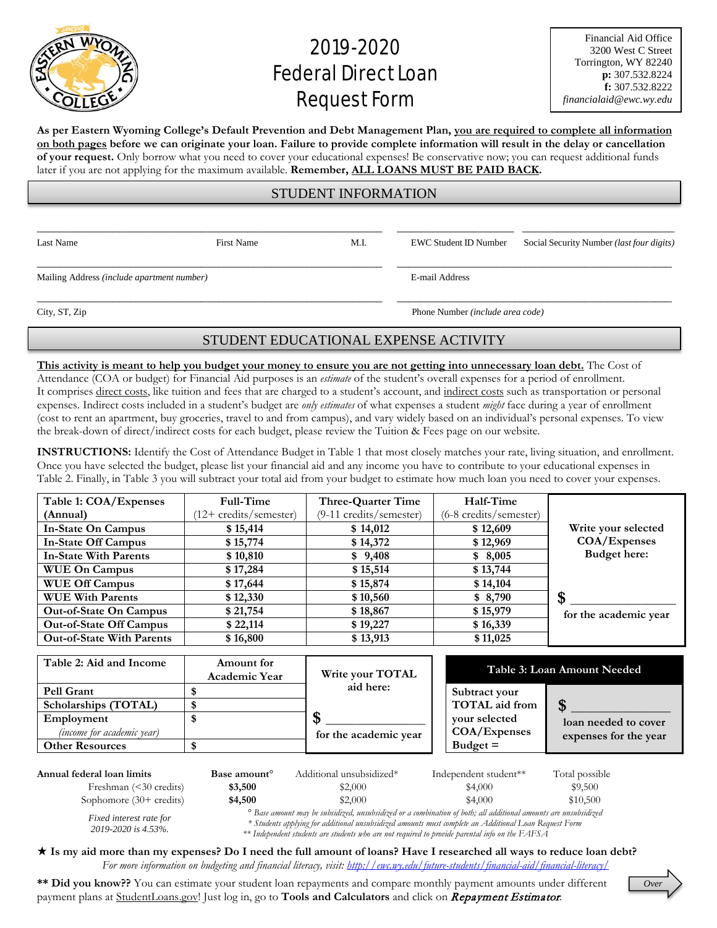

## 2019-2020 **Federal Direct Loan** Request Form

**As per Eastern Wyoming College's Default Prevention and Debt Management Plan, you are required to complete all information on both pages before we can originate your loan. Failure to provide complete information will result in the delay or cancellation of your request.** Only borrow what you need to cover your educational expenses! Be conservative now; you can request additional funds later if you are not applying for the maximum available. **Remember, ALL LOANS MUST BE PAID BACK.**

## STUDENT INFORMATION

\_\_\_\_\_\_\_\_\_\_\_\_\_\_\_\_\_\_\_\_\_\_\_\_\_\_\_\_\_\_\_\_\_\_\_\_\_\_\_\_\_\_\_\_\_\_\_\_\_\_\_\_\_\_\_\_\_\_\_ \_\_\_\_\_\_\_\_\_\_\_\_\_\_\_\_\_\_\_\_ \_\_\_\_\_\_\_\_\_\_\_\_\_\_\_\_\_\_\_\_\_\_\_\_\_\_

\_\_\_\_\_\_\_\_\_\_\_\_\_\_\_\_\_\_\_\_\_\_\_\_\_\_\_\_\_\_\_\_\_\_\_\_\_\_\_\_\_\_\_\_\_\_\_\_\_\_\_\_\_\_\_\_\_\_\_ \_\_\_\_\_\_\_\_\_\_\_\_\_\_\_\_\_\_\_\_\_\_\_\_\_\_\_\_\_\_\_\_\_\_\_\_\_\_\_\_\_\_\_\_\_\_\_

Mailing Address *(include apartment number)* E-mail Address

Last Name First Name First Name M.I. EWC Student ID Number Social Security Number *(last four digits)* 

\_\_\_\_\_\_\_\_\_\_\_\_\_\_\_\_\_\_\_\_\_\_\_\_\_\_\_\_\_\_\_\_\_\_\_\_\_\_\_\_\_\_\_\_\_\_\_\_\_\_\_\_\_\_\_\_\_\_\_ \_\_\_\_\_\_\_\_\_\_\_\_\_\_\_\_\_\_\_\_\_\_\_\_\_\_\_\_\_\_\_\_\_\_\_\_\_\_\_\_\_\_\_\_\_\_\_

City, ST, Zip Phone Number *(include area code)*

## STUDENT EDUCATIONAL EXPENSE ACTIVITY

**This activity is meant to help you budget your money to ensure you are not getting into unnecessary loan debt.** The Cost of Attendance (COA or budget) for Financial Aid purposes is an *estimate* of the student's overall expenses for a period of enrollment. It comprises direct costs, like tuition and fees that are charged to a student's account, and indirect costs such as transportation or personal expenses. Indirect costs included in a student's budget are *only estimates* of what expenses a student *might* face during a year of enrollment (cost to rent an apartment, buy groceries, travel to and from campus), and vary widely based on an individual's personal expenses. To view the break-down of direct/indirect costs for each budget, please review the Tuition & Fees page on our website.

**INSTRUCTIONS:** Identify the Cost of Attendance Budget in Table 1 that most closely matches your rate, living situation, and enrollment. Once you have selected the budget, please list your financial aid and any income you have to contribute to your educational expenses in Table 2. Finally, in Table 3 you will subtract your total aid from your budget to estimate how much loan you need to cover your expenses.

| Table 1: COA/Expenses            | Full-Time             | Three-Quarter Time      | Half-Time              |                       |
|----------------------------------|-----------------------|-------------------------|------------------------|-----------------------|
| (Annual)                         | 12+ credits/semester) | (9-11 credits/semester) | (6-8 credits/semester) |                       |
| In-State On Campus               | \$15,414              | \$14,012                | \$12,609               | Write your selected   |
| <b>In-State Off Campus</b>       | \$15,774              | \$14,372                | \$12,969               | COA/Expenses          |
| <b>In-State With Parents</b>     | \$10,810              | \$9,408                 | \$8,005                | Budget here:          |
| <b>WUE On Campus</b>             | \$17,284              | \$15,514                | \$13,744               |                       |
| <b>WUE Off Campus</b>            | \$17,644              | \$15,874                | \$14,104               |                       |
| <b>WUE With Parents</b>          | \$12,330              | \$10,560                | \$8,790                | S                     |
| <b>Out-of-State On Campus</b>    | \$21,754              | \$18,867                | \$15,979               | for the academic year |
| <b>Out-of-State Off Campus</b>   | \$22,114              | \$19,227                | \$16,339               |                       |
| <b>Out-of-State With Parents</b> | \$16,800              | \$13,913                | \$11,025               |                       |

| Table 2: Aid and Income           | Amount for<br><b>Academic Year</b> | Write your TOTAL<br>aid here:<br>for the academic year | Table 3: Loan Amount Needed            |                                               |
|-----------------------------------|------------------------------------|--------------------------------------------------------|----------------------------------------|-----------------------------------------------|
| <b>Pell Grant</b>                 |                                    |                                                        | Subtract your<br><b>TOTAL</b> aid from |                                               |
| Scholarships (TOTAL)              |                                    |                                                        |                                        |                                               |
| Employment                        |                                    |                                                        | vour selected                          | loan needed to cover<br>expenses for the year |
| <i>(income for academic year)</i> |                                    |                                                        | COA/Expenses                           |                                               |
| <b>Other Resources</b>            |                                    |                                                        | $Budget =$                             |                                               |
|                                   |                                    |                                                        |                                        |                                               |

| Annual federal loan limits   | Base amount | Additional unsubsidized*                                                                                    | Independent student** | Total possible |
|------------------------------|-------------|-------------------------------------------------------------------------------------------------------------|-----------------------|----------------|
| Freshman $(\leq 30$ credits) | \$3,500     | \$2,000                                                                                                     | \$4,000               | \$9,500        |
| Sophomore $(30+$ credits)    | \$4,500     | \$2,000                                                                                                     | \$4,000               | \$10,500       |
|                              |             | If the process we have admissed would disad on a southington of lotheral additional amounts and would disad |                       |                |

*Fixed interest rate for 2019-2020 is 4.53%.*

*° Base amount may be subsidized, unsubsidized or a combination of both; all additional amounts are unsubsidized \* Students applying for additional unsubsidized amounts must complete an Additional Loan Request Form \*\* Independent students are students who are not required to provide parental info on the FAFSA*

 **Is my aid more than my expenses? Do I need the full amount of loans? Have I researched all ways to reduce loan debt?** *For more information on budgeting and financial literacy, visit:<http://ewc.wy.edu/future-students/financial-aid/financial-literacy/>*

**\*\* Did you know??** You can estimate your student loan repayments and compare monthly payment amounts under different payment plans at StudentLoans.gov! Just log in, go to **Tools and Calculators** and click on Repayment Estimator.